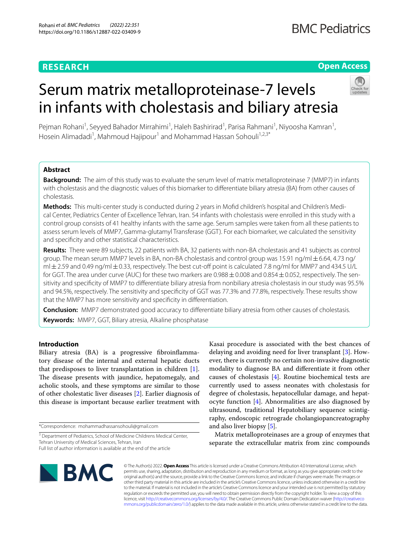# **RESEARCH**

# **Open Access**

# Serum matrix metalloproteinase-7 levels in infants with cholestasis and biliary atresia

Pejman Rohani<sup>1</sup>, Seyyed Bahador Mirrahimi<sup>1</sup>, Haleh Bashirirad<sup>1</sup>, Parisa Rahmani<sup>1</sup>, Niyoosha Kamran<sup>1</sup>, Hosein Alimadadi<sup>1</sup>, Mahmoud Hajipour<sup>1</sup> and Mohammad Hassan Sohouli<sup>1,2,3\*</sup>

# **Abstract**

**Background:** The aim of this study was to evaluate the serum level of matrix metalloproteinase 7 (MMP7) in infants with cholestasis and the diagnostic values of this biomarker to diferentiate biliary atresia (BA) from other causes of cholestasis.

**Methods:** This multi-center study is conducted during 2 years in Mofd children's hospital and Children's Medical Center, Pediatrics Center of Excellence Tehran, Iran. 54 infants with cholestasis were enrolled in this study with a control group consists of 41 healthy infants with the same age. Serum samples were taken from all these patients to assess serum levels of MMP7, Gamma-glutamyl Transferase (GGT). For each biomarker, we calculated the sensitivity and specifcity and other statistical characteristics.

**Results:** There were 89 subjects, 22 patients with BA, 32 patients with non-BA cholestasis and 41 subjects as control group. The mean serum MMP7 levels in BA, non-BA cholestasis and control group was 15.91 ng/ml±6.64, 4.73 ng/  $m/±2.59$  and 0.49 ng/m $/±0.33$ , respectively. The best cut-off point is calculated 7.8 ng/ml for MMP7 and 434.5 U/L for GGT. The area under curve (AUC) for these two markers are  $0.988 \pm 0.008$  and  $0.854 \pm 0.052$ , respectively. The sensitivity and specifcity of MMP7 to diferentiate biliary atresia from nonbiliary atresia cholestasis in our study was 95.5% and 94.5%, respectively. The sensitivity and specifcity of GGT was 77.3% and 77.8%, respectively. These results show that the MMP7 has more sensitivity and specifcity in diferentiation.

**Conclusion:** MMP7 demonstrated good accuracy to diferentiate biliary atresia from other causes of cholestasis. **Keywords:** MMP7, GGT, Biliary atresia, Alkaline phosphatase

# **Introduction**

Biliary atresia (BA) is a progressive fibroinflammatory disease of the internal and external hepatic ducts that predisposes to liver transplantation in children [\[1](#page-9-0)]. The disease presents with jaundice, hepatomegaly, and acholic stools, and these symptoms are similar to those of other cholestatic liver diseases [\[2](#page-9-1)]. Earlier diagnosis of this disease is important because earlier treatment with

\*Correspondence: mohammadhassansohouli@gmail.com

Kasai procedure is associated with the best chances of delaying and avoiding need for liver transplant [\[3](#page-9-2)]. However, there is currently no certain non-invasive diagnostic modality to diagnose BA and diferentiate it from other causes of cholestasis [[4\]](#page-9-3). Routine biochemical tests are currently used to assess neonates with cholestasis for degree of cholestasis, hepatocellular damage, and hepatocyte function [\[4\]](#page-9-3). Abnormalities are also diagnosed by ultrasound, traditional Hepatobiliary sequence scintigraphy, endoscopic retrograde cholangiopancreatography and also liver biopsy [[5\]](#page-9-4).

Matrix metalloproteinases are a group of enzymes that separate the extracellular matrix from zinc compounds



© The Author(s) 2022. **Open Access** This article is licensed under a Creative Commons Attribution 4.0 International License, which permits use, sharing, adaptation, distribution and reproduction in any medium or format, as long as you give appropriate credit to the original author(s) and the source, provide a link to the Creative Commons licence, and indicate if changes were made. The images or other third party material in this article are included in the article's Creative Commons licence, unless indicated otherwise in a credit line to the material. If material is not included in the article's Creative Commons licence and your intended use is not permitted by statutory regulation or exceeds the permitted use, you will need to obtain permission directly from the copyright holder. To view a copy of this licence, visit [http://creativecommons.org/licenses/by/4.0/.](http://creativecommons.org/licenses/by/4.0/) The Creative Commons Public Domain Dedication waiver ([http://creativeco](http://creativecommons.org/publicdomain/zero/1.0/) [mmons.org/publicdomain/zero/1.0/](http://creativecommons.org/publicdomain/zero/1.0/)) applies to the data made available in this article, unless otherwise stated in a credit line to the data.

<sup>&</sup>lt;sup>3</sup> Department of Pediatrics, School of Medicine Childrens Medical Center, Tehran University of Medical Sciences, Tehran, Iran

Full list of author information is available at the end of the article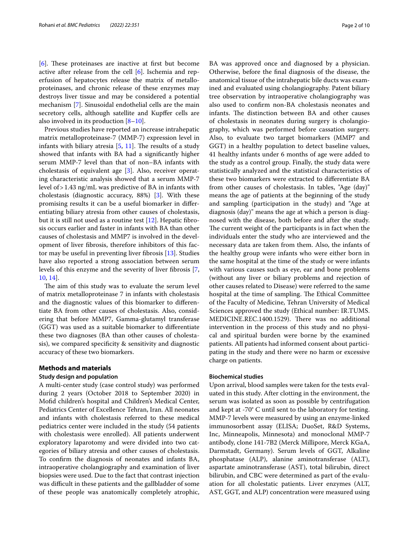[[6\]](#page-9-5). These proteinases are inactive at first but become active after release from the cell [[6\]](#page-9-5). Ischemia and reperfusion of hepatocytes release the matrix of metalloproteinases, and chronic release of these enzymes may destroys liver tissue and may be considered a potential mechanism [\[7](#page-9-6)]. Sinusoidal endothelial cells are the main secretory cells, although satellite and Kupffer cells are also involved in its production [[8–](#page-9-7)[10\]](#page-9-8).

Previous studies have reported an increase intrahepatic matrix metalloproteinase-7 (MMP-7) expression level in infants with biliary atresia  $[5, 11]$  $[5, 11]$  $[5, 11]$  $[5, 11]$  $[5, 11]$ . The results of a study showed that infants with BA had a signifcantly higher serum MMP-7 level than that of non–BA infants with cholestasis of equivalent age [[3\]](#page-9-2). Also, receiver operating characteristic analysis showed that a serum MMP-7 level of>1.43 ng/mL was predictive of BA in infants with cholestasis (diagnostic accuracy, 88%) [[3](#page-9-2)]. With these promising results it can be a useful biomarker in diferentiating biliary atresia from other causes of cholestasis, but it is still not used as a routine test [\[12](#page-9-10)]. Hepatic fibrosis occurs earlier and faster in infants with BA than other causes of cholestasis and MMP7 is involved in the development of liver fbrosis, therefore inhibitors of this factor may be useful in preventing liver fbrosis [\[13\]](#page-9-11). Studies have also reported a strong association between serum levels of this enzyme and the severity of liver fbrosis [\[7](#page-9-6), [10,](#page-9-8) [14\]](#page-9-12).

The aim of this study was to evaluate the serum level of matrix metalloproteinase 7 in infants with cholestasis and the diagnostic values of this biomarker to diferentiate BA from other causes of cholestasis. Also, considering that before MMP7, Gamma-glutamyl transferase (GGT) was used as a suitable biomarker to diferentiate these two diagnoses (BA than other causes of cholestasis), we compared specifcity & sensitivity and diagnostic accuracy of these two biomarkers.

### **Methods and materials**

#### **Study design and population**

A multi-center study (case control study) was performed during 2 years (October 2018 to September 2020) in Mofd children's hospital and Children's Medical Center, Pediatrics Center of Excellence Tehran, Iran. All neonates and infants with cholestasis referred to these medical pediatrics center were included in the study (54 patients with cholestasis were enrolled). All patients underwent exploratory laparotomy and were divided into two categories of biliary atresia and other causes of cholestasis. To confrm the diagnosis of neonates and infants BA, intraoperative cholangiography and examination of liver biopsies were used. Due to the fact that contrast injection was difficult in these patients and the gallbladder of some of these people was anatomically completely atrophic, BA was approved once and diagnosed by a physician. Otherwise, before the fnal diagnosis of the disease, the anatomical tissue of the intrahepatic bile ducts was examined and evaluated using cholangiography. Patent biliary tree observation by intraoperative cholangiography was also used to confrm non-BA cholestasis neonates and infants. The distinction between BA and other causes of cholestasis in neonates during surgery is cholangiography, which was performed before cassation surgery. Also, to evaluate two target biomarkers (MMP7 and GGT) in a healthy population to detect baseline values, 41 healthy infants under 6 months of age were added to the study as a control group. Finally, the study data were statistically analyzed and the statistical characteristics of these two biomarkers were extracted to diferentiate BA from other causes of cholestasis. In tables, "Age (day)" means the age of patients at the beginning of the study and sampling (participation in the study) and "Age at diagnosis (day)" means the age at which a person is diagnosed with the disease, both before and after the study. The current weight of the participants is in fact when the individuals enter the study who are interviewed and the necessary data are taken from them. Also, the infants of the healthy group were infants who were either born in the same hospital at the time of the study or were infants with various causes such as eye, ear and bone problems (without any liver or biliary problems and rejection of other causes related to Disease) were referred to the same hospital at the time of sampling. The Ethical Committee of the Faculty of Medicine, Tehran University of Medical Sciences approved the study (Ethical number: IR.TUMS. MEDICINE.REC.1400.1529). There was no additional intervention in the process of this study and no physical and spiritual burden were borne by the examined patients. All patients had informed consent about participating in the study and there were no harm or excessive charge on patients.

#### **Biochemical studies**

Upon arrival, blood samples were taken for the tests evaluated in this study. After clotting in the environment, the serum was isolated as soon as possible by centrifugation and kept at -70° C until sent to the laboratory for testing. MMP-7 levels were measured by using an enzyme-linked immunosorbent assay (ELISA; DuoSet, R&D Systems, Inc, Minneapolis, Minnesota) and monoclonal MMP-7 antibody, clone 141-7B2 (Merck Millipore, Merck KGaA, Darmstadt, Germany). Serum levels of GGT, Alkaline phosphatase (ALP), alanine aminotransferase (ALT), aspartate aminotransferase (AST), total bilirubin, direct bilirubin, and CBC were determined as part of the evaluation for all cholestatic patients. Liver enzymes (ALT, AST, GGT, and ALP) concentration were measured using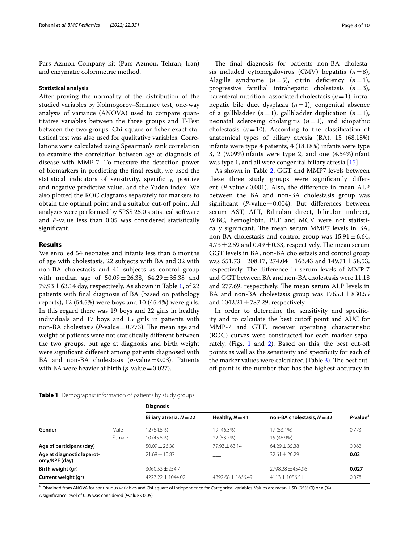Pars Azmon Company kit (Pars Azmon, Tehran, Iran) and enzymatic colorimetric method.

#### **Statistical analysis**

After proving the normality of the distribution of the studied variables by Kolmogorov–Smirnov test, one-way analysis of variance (ANOVA) used to compare quantitative variables between the three groups and T-Test between the two groups. Chi-square or fsher exact statistical test was also used for qualitative variables. Correlations were calculated using Spearman's rank correlation to examine the correlation between age at diagnosis of disease with MMP-7. To measure the detection power of biomarkers in predicting the fnal result, we used the statistical indicators of sensitivity, specifcity, positive and negative predictive value, and the Yuden index. We also plotted the ROC diagrams separately for markers to obtain the optimal point and a suitable cut-of point. All analyzes were performed by SPSS 25.0 statistical software and *P*-value less than 0.05 was considered statistically signifcant.

#### **Results**

We enrolled 54 neonates and infants less than 6 months of age with cholestasis, 22 subjects with BA and 32 with non-BA cholestasis and 41 subjects as control group with median age of  $50.09 \pm 26.38$ ,  $64.29 \pm 35.38$  and 79.93  $\pm$  63.14 day, respectively. As shown in Table [1,](#page-2-0) of 22 patients with fnal diagnosis of BA (based on pathology reports), 12 (54.5%) were boys and 10 (45.4%) were girls. In this regard there was 19 boys and 22 girls in healthy individuals and 17 boys and 15 girls in patients with non-BA cholestasis (*P*-value  $=$  0.773). The mean age and weight of patients were not statistically diferent between the two groups, but age at diagnosis and birth weight were signifcant diferent among patients diagnosed with BA and non-BA cholestasis  $(p$ -value=0.03). Patients with BA were heavier at birth  $(p$ -value = 0.027).

The final diagnosis for patients non-BA cholestasis included cytomegalovirus (CMV) hepatitis  $(n=8)$ , Alagille syndrome  $(n=5)$ , citrin deficiency  $(n=1)$ , progressive familial intrahepatic cholestasis (*n*=3), parenteral nutrition–associated cholestasis (*n*=1), intrahepatic bile duct dysplasia (*n*=1), congenital absence of a gallbladder  $(n=1)$ , gallbladder duplication  $(n=1)$ , neonatal sclerosing cholangitis (*n*=1), and idiopathic cholestasis  $(n=10)$ . According to the classification of anatomical types of biliary atresia (BA), 15 (68.18%) infants were type 4 patients, 4 (18.18%) infants were type 3, 2 (9.09%)infants were type 2, and one (4.54%)infant was type 1, and all were congenital biliary atresia [[15](#page-9-13)].

As shown in Table [2](#page-3-0), GGT and MMP7 levels between these three study groups were signifcantly diferent (*P*-value < 0.001). Also, the difference in mean ALP between the BA and non-BA cholestasis group was signifcant (*P*-value=0.004). But diferences between serum AST, ALT, Bilirubin direct, bilirubin indirect, WBC, hemoglobin, PLT and MCV were not statistically significant. The mean serum MMP7 levels in BA, non-BA cholestasis and control group was  $15.91 \pm 6.64$ ,  $4.73 \pm 2.59$  and  $0.49 \pm 0.33$ , respectively. The mean serum GGT levels in BA, non-BA cholestasis and control group was  $551.73 \pm 208.17$ ,  $274.04 \pm 163.43$  and  $149.71 \pm 58.53$ , respectively. The difference in serum levels of MMP-7 and GGT between BA and non-BA cholestasis were 11.18 and 277.69, respectively. The mean serum ALP levels in BA and non-BA cholestasis group was  $1765.1 \pm 830.55$ and  $1042.21 \pm 787.29$ , respectively.

In order to determine the sensitivity and specifcity and to calculate the best cutoff point and AUC for MMP-7 and GTT, receiver operating characteristic (ROC) curves were constructed for each marker separately, (Figs.  $1$  and  $2$ ). Based on this, the best cut-off points as well as the sensitivity and specifcity for each of the marker values were calculated (Table [3\)](#page-4-1). The best cutof point is the number that has the highest accuracy in

|                                             |        | <b>Diagnosis</b>          |                     |                              |                         |
|---------------------------------------------|--------|---------------------------|---------------------|------------------------------|-------------------------|
|                                             |        | Biliary atresia, $N = 22$ | Healthy, $N = 41$   | non-BA cholestasis, $N = 32$ | $P$ -value <sup>a</sup> |
| Gender                                      | Male   | 12 (54.5%)                | 19 (46.3%)          | 17 (53.1%)                   | 0.773                   |
|                                             | Female | 10 (45.5%)                | 22 (53.7%)          | 15 (46.9%)                   |                         |
| Age of participant (day)                    |        | $50.09 + 26.38$           | $79.93 + 63.14$     | $64.29 + 35.38$              | 0.062                   |
| Age at diagnostic laparot-<br>omy/KPE (day) |        | $71.68 \pm 10.87$         |                     | $32.61 + 20.29$              | 0.03                    |
| Birth weight (gr)                           |        | $3060.53 + 254.7$         |                     | $2798.28 + 454.96$           | 0.027                   |
| Current weight (gr)                         |        | $4227.22 + 1044.02$       | $4892.68 + 1666.49$ | $4113 + 1086.51$             | 0.078                   |

<span id="page-2-0"></span>**Table 1** Demographic information of patients by study groups

 $^\mathsf{a}$  Obtained from ANOVA for continuous variables and Chi-square of independence for Categorical variables. Values are mean $\pm$ SD (95% CI) or n (%)

A significance level of 0.05 was considered (*Pvalue* < 0.05)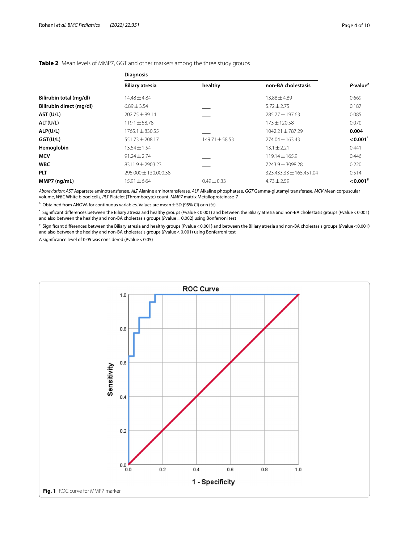|                          | <b>Diagnosis</b>       |                    |                             |                        |
|--------------------------|------------------------|--------------------|-----------------------------|------------------------|
|                          | <b>Biliary atresia</b> | healthy            | non-BA cholestasis          | P-value <sup>a</sup>   |
| Bilirubin total (mg/dl)  | $14.48 + 4.84$         |                    | $13.88 + 4.89$              | 0.669                  |
| Bilirubin direct (mg/dl) | $6.89 \pm 3.54$        |                    | $5.72 \pm 2.75$             | 0.187                  |
| AST (U/L)                | $202.75 \pm 89.14$     |                    | $285.77 \pm 197.63$         | 0.085                  |
| ALT(U/L)                 | $119.1 \pm 58.78$      |                    | $173 \pm 120.58$            | 0.070                  |
| ALP(U/L)                 | $1765.1 \pm 830.55$    |                    | $1042.21 \pm 787.29$        | 0.004                  |
| GGT(U/L)                 | $551.73 \pm 208.17$    | $149.71 \pm 58.53$ | $274.04 \pm 163.43$         | $< 0.001$ <sup>*</sup> |
| Hemoglobin               | $13.54 \pm 1.54$       |                    | $13.1 \pm 2.21$             | 0.441                  |
| <b>MCV</b>               | $91.24 \pm 2.74$       |                    | $119.14 \pm 165.9$          | 0.446                  |
| <b>WBC</b>               | $8311.9 \pm 2903.23$   |                    | 7243.9 ± 3098.28            | 0.220                  |
| <b>PLT</b>               | 295,000 ± 130,000.38   |                    | $323,433.33 \pm 165,451.04$ | 0.514                  |
| $MMP7$ (ng/mL)           | $15.91 \pm 6.64$       | $0.49 \pm 0.33$    | $4.73 \pm 2.59$             | $< 0.001$ <sup>#</sup> |

#### <span id="page-3-0"></span>**Table 2** Mean levels of MMP7, GGT and other markers among the three study groups

*Abbreviation*: *AST* Aspartate aminotransferase, *ALT* Alanine aminotransferase, *ALP* Alkaline phosphatase, *GGT* Gamma-glutamyl transferase, *MCV* Mean corpuscular volume, *WBC* White blood cells, *PLT* Platelet (Thrombocyte) count, *MMP7* matrix Metalloproteinase-7

 $^{\text{a}}$  Obtained from ANOVA for continuous variables. Values are mean  $\pm$  SD (95% CI) or n (%)

\* Signifcant diferences between the Biliary atresia and healthy groups (*P*value<0.001) and between the Biliary atresia and non-BA cholestasis groups (*P*value<0.001) and also between the healthy and non-BA cholestasis groups (*Pvalue* = 0.002) using Bonferroni test

# Signifcant diferences between the Biliary atresia and healthy groups (*P*value<0.001**)** and between the Biliary atresia and non-BA cholestasis groups (*P*value<0.001**)** and also between the healthy and non-BA cholestasis groups (*P*value< 0.001) using Bonferroni test

A significance level of 0.05 was considered (Pvalue < 0.05)

<span id="page-3-1"></span>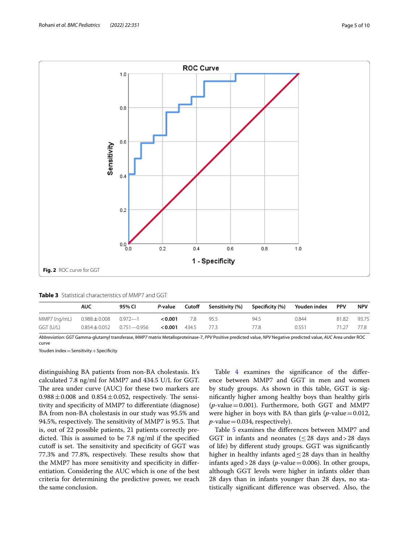

<span id="page-4-1"></span><span id="page-4-0"></span>

| <b>Table 3</b> Statistical characteristics of MMP7 and GGT |
|------------------------------------------------------------|
|------------------------------------------------------------|

|              | <b>AUC</b>                | 95% CI                            | P-value | Cutoff | Sensitivity (%) | Specificity (%) | Youden index | <b>PPV</b> | <b>NPV</b> |
|--------------|---------------------------|-----------------------------------|---------|--------|-----------------|-----------------|--------------|------------|------------|
| MMP7 (ng/mL) | $0.988 \pm 0.008$ 0.972-1 |                                   | 0.001   | 7.8    | 95.5            | 94.5            | 0.844        | 81.82      | 93.75      |
| GGT (U/L)    |                           | $0.854 \pm 0.052$ $0.751 - 0.956$ | < 0.001 | 4345   | -773            | 77.8            | 0.551        | 71 27      | 77.8       |

*Abbreviation*: *GGT* Gamma-glutamyl transferase, *MMP7* matrix Metalloproteinase-7, *PPV* Positive predicted value, *NPV* Negative predicted value, *AUC* Area under ROC curve

Youden  $index = Sensitivity + Specificity$ 

distinguishing BA patients from non-BA cholestasis. It's calculated 7.8 ng/ml for MMP7 and 434.5 U/L for GGT. The area under curve (AUC) for these two markers are  $0.988 \pm 0.008$  and  $0.854 \pm 0.052$ , respectively. The sensitivity and specifcity of MMP7 to diferentiate (diagnose) BA from non-BA cholestasis in our study was 95.5% and 94.5%, respectively. The sensitivity of MMP7 is 95.5. That is, out of 22 possible patients, 21 patients correctly predicted. This is assumed to be 7.8 ng/ml if the specified cutoff is set. The sensitivity and specificity of GGT was 77.3% and 77.8%, respectively. These results show that the MMP7 has more sensitivity and specifcity in diferentiation. Considering the AUC which is one of the best criteria for determining the predictive power, we reach the same conclusion.

Table [4](#page-5-0) examines the signifcance of the diference between MMP7 and GGT in men and women by study groups. As shown in this table, GGT is signifcantly higher among healthy boys than healthy girls  $(p$ -value = 0.001). Furthermore, both GGT and MMP7 were higher in boys with BA than girls  $(p$ -value=0.012,  $p$ -value = 0.034, respectively).

Table [5](#page-6-0) examines the diferences between MMP7 and GGT in infants and neonates ( $\leq$  28 days and > 28 days of life) by diferent study groups. GGT was signifcantly higher in healthy infants aged  $\leq$  28 days than in healthy infants aged > 28 days ( $p$ -value = 0.006). In other groups, although GGT levels were higher in infants older than 28 days than in infants younger than 28 days, no statistically signifcant diference was observed. Also, the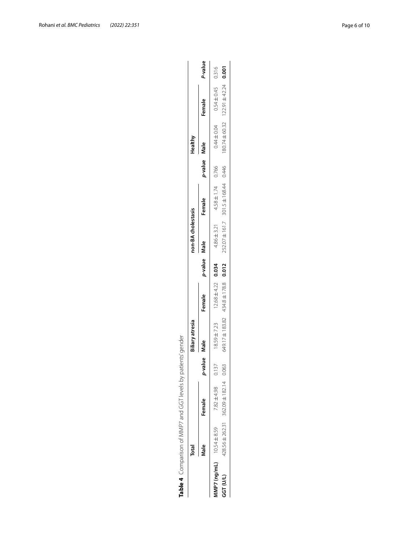|                                 |       | Table 4 Comparison of MMP7 and GGT levels by patients' gender |                 |                                             |                        |              |                    |                                             |              |         |                                                    |         |
|---------------------------------|-------|---------------------------------------------------------------|-----------------|---------------------------------------------|------------------------|--------------|--------------------|---------------------------------------------|--------------|---------|----------------------------------------------------|---------|
|                                 | Total |                                                               |                 | siliary atresia                             |                        |              | non-BA cholestasis |                                             |              | Healthy |                                                    |         |
|                                 | Vlale | Female                                                        | value Male<br>é |                                             | Female                 | p-value Male |                    | Female                                      | p-value Male |         | Female                                             | P-value |
| $MNPZ$ (ng/mL) $10.54 \pm 8.59$ |       | 7.82 ± 4.98                                                   | 137             | $18.59 \pm 7.23$                            | $12.68 \pm 4.22$ 0.034 |              | $4.86 \pm 3.21$    | $4.58 \pm 1.74$ 0.766                       |              |         | $0.44 \pm 0.04$ 0.54 $\pm$ 0.45 0.316              |         |
| GGT (U/L)                       |       | $428.56 \pm 262.31$ $362.09 \pm 182.14$ 0.063                 |                 | $649.17 \pm 183.82$ $434.8 \pm 178.8$ 0.012 |                        |              |                    | $252.07 \pm 161.7$ 301.5 $\pm$ 168.44 0.446 |              |         | $180.74 \pm 60.32$ $122.91 \pm 42.24$ <b>0.001</b> |         |

P-value

 $0.316$ <br>0.001

 $428.56 \pm 262.31$ 

<span id="page-5-0"></span>GGT (U/L)

| I<br>J<br>ī<br>i<br>ç<br>J<br>I<br>١<br>I<br>l<br>I<br>I<br>J<br>I<br>I |
|-------------------------------------------------------------------------|
| ļ<br>)                                                                  |
| ١<br>١                                                                  |
| J                                                                       |
|                                                                         |
| I<br>۱<br>J                                                             |
| i<br>J<br>į                                                             |
| Ï<br>ׇ֚                                                                 |
| İ<br>١                                                                  |
| ļ<br>ׇׇ֚֚֘֝֕֝<br>Ï                                                      |
| I                                                                       |
| Ï<br>l                                                                  |
|                                                                         |
|                                                                         |
| I<br>l                                                                  |
| ļ<br>I<br>١<br>l<br>١                                                   |
| I<br>l                                                                  |
| ļ                                                                       |
| i                                                                       |
| ١<br>t<br>J                                                             |
|                                                                         |
|                                                                         |
|                                                                         |
| ׇ֚֘֡                                                                    |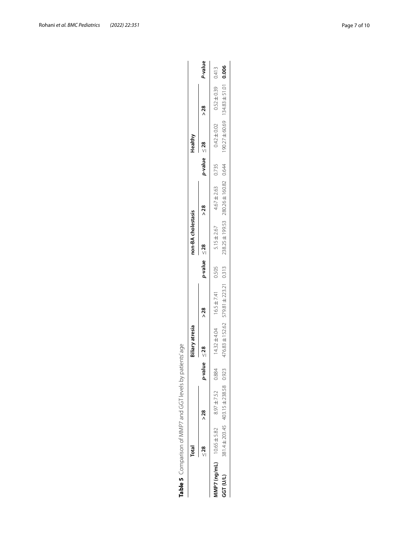<span id="page-6-0"></span>

| J<br>j<br>)                    |
|--------------------------------|
| ة<br>أ<br>S<br>ï               |
| ļ<br>י<br>ו<br>֠               |
| I<br>I                         |
| į<br>I                         |
| I<br>J<br>J                    |
| I<br>֠                         |
| l<br>J<br>١<br>Ï               |
| l<br>ļ                         |
| I<br>ļ                         |
|                                |
| I                              |
| ļ<br>I<br>l                    |
| ļ<br>l                         |
| $\ddot{\phantom{a}}$<br>١<br>Ï |
| ţ                              |
| ١                              |
|                                |
|                                |

| Table 5 Comparison of MMP7 and GGT levels by patients' age | Total                   |                                                     |         | siliary atresia                 |                                       |                      | non-BA cholestasis |                                 |                      | Healthy         |                                      |         |
|------------------------------------------------------------|-------------------------|-----------------------------------------------------|---------|---------------------------------|---------------------------------------|----------------------|--------------------|---------------------------------|----------------------|-----------------|--------------------------------------|---------|
|                                                            | > 28<br>$\frac{28}{11}$ |                                                     | p-value | $\frac{8}{2}$                   | >28                                   | $p$ -value $\leq$ 28 | > 28               |                                 | $p$ -value $\leq$ 28 | > 28            |                                      | P-value |
|                                                            |                         | MMP7 (ng/mL) $10.65 \pm 5.82$ 8.97 $\pm$ 7.52 0.884 |         | $4.32 \pm 4.04$ 16.5 $\pm$ 7.41 |                                       | 0.505                | $5.15 \pm 2.67$    | $4.67 \pm 2.63$ 0.735           |                      | $0.42 \pm 0.02$ | $0.52 \pm 0.39$ 0.413                |         |
| GGT (U/L)                                                  |                         | 381.4 ± 203.45 403.15 ± 238.58                      | 0.923   |                                 | 476.83 ± 152.62 579.81 ± 223.21 0.313 |                      |                    | 238.25 ± 199.53 280.26 ± 160.82 | 0.644                |                 | 90.27 $\pm$ 60.69 134.83 $\pm$ 51.01 | 0.006   |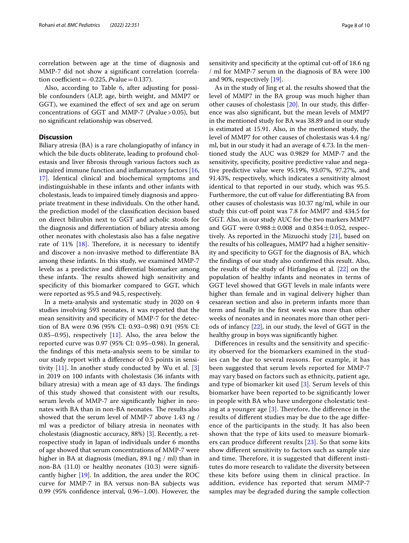Also, according to Table  $6$ , after adjusting for possible confounders (ALP, age, birth weight, and MMP7 or GGT), we examined the efect of sex and age on serum concentrations of GGT and MMP-7 (*Pvalue* > 0.05), but no signifcant relationship was observed.

# **Discussion**

Biliary atresia (BA) is a rare cholangiopathy of infancy in which the bile ducts obliterate, leading to profound cholestasis and liver fbrosis through various factors such as impaired immune function and infammatory factors [\[16](#page-9-14), [17\]](#page-9-15). Identical clinical and biochemical symptoms and indistinguishable in these infants and other infants with cholestasis, leads to impaired timely diagnosis and appropriate treatment in these individuals. On the other hand, the prediction model of the classifcation decision based on direct bilirubin next to GGT and acholic stools for the diagnosis and diferentiation of biliary atresia among other neonates with cholestasis also has a false negative rate of 11%  $[18]$  $[18]$ . Therefore, it is necessary to identify and discover a non-invasive method to diferentiate BA among these infants. In this study, we examined MMP-7 levels as a predictive and diferential biomarker among these infants. The results showed high sensitivity and specificity of this biomarker compared to GGT, which were reported as 95.5 and 94.5, respectively.

In a meta-analysis and systematic study in 2020 on 4 studies involving 593 neonates, it was reported that the mean sensitivity and specifcity of MMP-7 for the detection of BA were 0.96 (95% CI: 0.93–0.98) 0.91 (95% CI: 0.85–0.95), respectively  $[11]$ . Also, the area below the reported curve was 0.97 (95% CI: 0.95–0.98). In general, the fndings of this meta-analysis seem to be similar to our study report with a diference of 0.5 points in sensitivity  $[11]$  $[11]$ . In another study conducted by Wu et al.  $[3]$  $[3]$ in 2019 on 100 infants with cholestasis (36 infants with biliary atresia) with a mean age of 43 days. The findings of this study showed that consistent with our results, serum levels of MMP-7 are signifcantly higher in neonates with BA than in non-BA neonates. The results also showed that the serum level of MMP-7 above 1.43 ng / ml was a predictor of biliary atresia in neonates with cholestasis (diagnostic accuracy, 88%) [[3\]](#page-9-2). Recently, a retrospective study in Japan of individuals under 6 months of age showed that serum concentrations of MMP-7 were higher in BA at diagnosis (median, 89.1 ng / ml) than in non-BA (11.0) or healthy neonates (10.3) were signifcantly higher [[19\]](#page-9-17). In addition, the area under the ROC curve for MMP-7 in BA versus non-BA subjects was 0.99 (95% confdence interval, 0.96–1.00). However, the sensitivity and specificity at the optimal cut-off of 18.6 ng / ml for MMP-7 serum in the diagnosis of BA were 100 and 90%, respectively [\[19](#page-9-17)].

As in the study of Jing et al. the results showed that the level of MMP7 in the BA group was much higher than other causes of cholestasis [[20\]](#page-9-18). In our study, this diference was also signifcant, but the mean levels of MMP7 in the mentioned study for BA was 38.89 and in our study is estimated at 15.91. Also, in the mentioned study, the level of MMP7 for other causes of cholestasis was 4.4 ng/ ml, but in our study it had an average of 4.73. In the mentioned study the AUC was 0.9829 for MMP-7 and the sensitivity, specifcity, positive predictive value and negative predictive value were 95.19%, 93.07%, 97.27%, and 91.43%, respectively, which indicates a sensitivity almost identical to that reported in our study, which was 95.5. Furthermore, the cut off value for differentiating BA from other causes of cholestasis was 10.37 ng/ml, while in our study this cut-of point was 7.8 for MMP7 and 434.5 for GGT. Also, in our study AUC for the two markers MMP7 and GGT were  $0.988 \pm 0.008$  and  $0.854 \pm 0.052$ , respectively. As reported in the Mizuochi study [[21\]](#page-9-19), based on the results of his colleagues, MMP7 had a higher sensitivity and specifcity to GGT for the diagnosis of BA, which the fndings of our study also confrmed this result. Also, the results of the study of Hirfanglou et al. [\[22](#page-9-20)] on the population of healthy infants and neonates in terms of GGT level showed that GGT levels in male infants were higher than female and in vaginal delivery higher than cesarean section and also in preterm infants more than term and fnally in the frst week was more than other weeks of neonates and in neonates more than other periods of infancy [\[22](#page-9-20)], in our study, the level of GGT in the healthy group in boys was signifcantly higher.

Diferences in results and the sensitivity and specifcity observed for the biomarkers examined in the studies can be due to several reasons. For example, it has been suggested that serum levels reported for MMP-7 may vary based on factors such as ethnicity, patient age, and type of biomarker kit used [[3\]](#page-9-2). Serum levels of this biomarker have been reported to be signifcantly lower in people with BA who have undergone cholestatic testing at a younger age  $[3]$  $[3]$  $[3]$ . Therefore, the difference in the results of diferent studies may be due to the age diference of the participants in the study. It has also been shown that the type of kits used to measure biomarkers can produce diferent results [\[23](#page-9-21)]. So that some kits show diferent sensitivity to factors such as sample size and time. Therefore, it is suggested that different institutes do more research to validate the diversity between these kits before using them in clinical practice. In addition, evidence has reported that serum MMP-7 samples may be degraded during the sample collection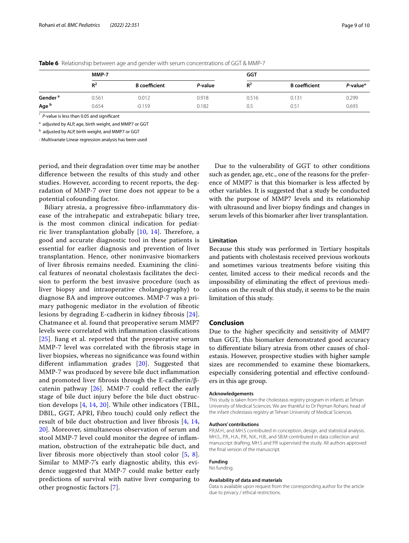|                     | MMP-7 |                      |         | GGT   |                      |             |
|---------------------|-------|----------------------|---------|-------|----------------------|-------------|
|                     | $R^2$ | <b>B</b> coefficient | P-value | $R^2$ | <b>B</b> coefficient | $P$ -value* |
| Gender <sup>a</sup> | 0.561 | 0.012                | 0.918   | 0.516 | 0.131                | 0.299       |
| Age <sup>b</sup>    | 0.654 | $-0.159$             | 0.182   | 0.5   | 0.51                 | 0.693       |

<span id="page-8-0"></span>**Table 6** Relationship between age and gender with serum concentrations of GGT & MMP-7

\* *P*-value is less than 0.05 and signifcant

<sup>a</sup> adjusted by ALP, age, birth weight, and MMP7 or GGT

<sup>b</sup> adjusted by ALP, birth weight, and MMP7 or GGT

- Multivariate Linear regression analysis has been used

period, and their degradation over time may be another diference between the results of this study and other studies. However, according to recent reports, the degradation of MMP-7 over time does not appear to be a potential cofounding factor.

Biliary atresia, a progressive fbro-infammatory disease of the intrahepatic and extrahepatic biliary tree, is the most common clinical indication for pediatric liver transplantation globally  $[10, 14]$  $[10, 14]$  $[10, 14]$  $[10, 14]$  $[10, 14]$ . Therefore, a good and accurate diagnostic tool in these patients is essential for earlier diagnosis and prevention of liver transplantation. Hence, other noninvasive biomarkers of liver fbrosis remains needed. Examining the clinical features of neonatal cholestasis facilitates the decision to perform the best invasive procedure (such as liver biopsy and intraoperative cholangiography) to diagnose BA and improve outcomes. MMP-7 was a primary pathogenic mediator in the evolution of fbrotic lesions by degrading E-cadherin in kidney fbrosis [[24](#page-9-22)]. Chatmanee et al. found that preoperative serum MMP7 levels were correlated with infammation classifcations [[25](#page-9-23)]. Jiang et al. reported that the preoperative serum MMP-7 level was correlated with the fbrosis stage in liver biopsies, whereas no signifcance was found within diferent infammation grades [[20\]](#page-9-18). Suggested that MMP-7 was produced by severe bile duct infammation and promoted liver fibrosis through the E-cadherin/βcatenin pathway  $[26]$  $[26]$ . MMP-7 could reflect the early stage of bile duct injury before the bile duct obstruction develops [\[4,](#page-9-3) [14,](#page-9-12) [20](#page-9-18)]. While other indicators (TBIL, DBIL, GGT, APRI, Fibro touch) could only refect the result of bile duct obstruction and liver fbrosis [\[4](#page-9-3), [14](#page-9-12), [20\]](#page-9-18). Moreover, simultaneous observation of serum and stool MMP-7 level could monitor the degree of infammation, obstruction of the extrahepatic bile duct, and liver fbrosis more objectively than stool color [\[5](#page-9-4), [8\]](#page-9-7). Similar to MMP-7's early diagnostic ability, this evidence suggested that MMP-7 could make better early predictions of survival with native liver comparing to other prognostic factors [[7](#page-9-6)].

Due to the vulnerability of GGT to other conditions such as gender, age, etc., one of the reasons for the preference of MMP7 is that this biomarker is less afected by other variables. It is suggested that a study be conducted with the purpose of MMP7 levels and its relationship with ultrasound and liver biopsy fndings and changes in serum levels of this biomarker after liver transplantation.

#### **Limitation**

Because this study was performed in Tertiary hospitals and patients with cholestasis received previous workouts and sometimes various treatments before visiting this center, limited access to their medical records and the impossibility of eliminating the efect of previous medications on the result of this study, it seems to be the main limitation of this study.

#### **Conclusion**

Due to the higher specificity and sensitivity of MMP7 than GGT, this biomarker demonstrated good accuracy to diferentiate biliary atresia from other causes of cholestasis. However, prospective studies with higher sample sizes are recommended to examine these biomarkers, especially considering potential and efective confounders in this age group.

#### **Acknowledgements**

This study is taken from the cholestasis registry program in infants at Tehran University of Medical Sciences. We are thankful to Dr Pejman Rohani, head of the infant cholestasis registry at Tehran University of Medical Sciences.

#### **Authors' contributions**

P.R,M.H., and MH.S contributed in conception, design, and statistical analysis. MH.S., P.R., H.A., P.R., N.K., H.B., and SB.M contributed in data collection and manuscript drafting. MH.S and P.R supervised the study. All authors approved the fnal version of the manuscript.

#### **Funding**

No funding.

#### **Availability of data and materials**

Data is available upon request from the corresponding author for the article due to privacy / ethical restrictions.